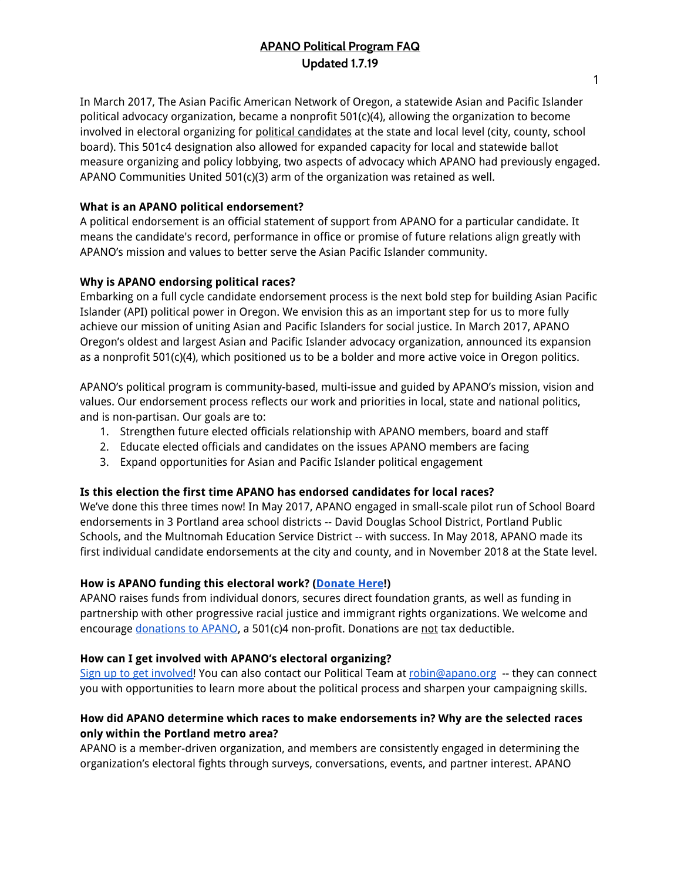# **APANO Political Program FAQ Updated 1.7.19**

In March 2017, The Asian Pacific American Network of Oregon, a statewide Asian and Pacific Islander political advocacy organization, became a nonprofit 501(c)(4), allowing the organization to become involved in electoral organizing for political candidates at the state and local level (city, county, school board). This 501c4 designation also allowed for expanded capacity for local and statewide ballot measure organizing and policy lobbying, two aspects of advocacy which APANO had previously engaged. APANO Communities United 501(c)(3) arm of the organization was retained as well.

## **What is an APANO political endorsement?**

A political endorsement is an official statement of support from APANO for a particular candidate. It means the candidate's record, performance in office or promise of future relations align greatly with APANO's mission and values to better serve the Asian Pacific Islander community.

#### **Why is APANO endorsing political races?**

Embarking on a full cycle candidate endorsement process is the next bold step for building Asian Pacific Islander (API) political power in Oregon. We envision this as an important step for us to more fully achieve our mission of uniting Asian and Pacific Islanders for social justice. In March 2017, APANO Oregon's oldest and largest Asian and Pacific Islander advocacy organization, announced its expansion as a nonprofit 501(c)(4), which positioned us to be a bolder and more active voice in Oregon politics.

APANO's political program is community-based, multi-issue and guided by APANO's mission, vision and values. Our endorsement process reflects our work and priorities in local, state and national politics, and is non-partisan. Our goals are to:

- 1. Strengthen future elected officials relationship with APANO members, board and staff
- 2. Educate elected officials and candidates on the issues APANO members are facing
- 3. Expand opportunities for Asian and Pacific Islander political engagement

#### **Is this election the first time APANO has endorsed candidates for local races?**

We've done this three times now! In May 2017, APANO engaged in small-scale pilot run of School Board endorsements in 3 Portland area school districts -- David Douglas School District, Portland Public Schools, and the Multnomah Education Service District -- with success. In May 2018, APANO made its first individual candidate endorsements at the city and county, and in November 2018 at the State level.

#### **How is APANO funding this electoral work? [\(Donate](https://apano.salsalabs.org/donateapano/index.html) Here!)**

APANO raises funds from individual donors, secures direct foundation grants, as well as funding in partnership with other progressive racial justice and immigrant rights organizations. We welcome and encourage [donations](https://apano.salsalabs.org/donateapano/index.html) to APANO, a 501(c)4 non-profit. Donations are not tax deductible.

#### **How can I get involved with APANO's electoral organizing?**

Sign up to get [involved!](https://apano.salsalabs.org/getinvolved/index.html) You can also contact our Political Team at [robin@apano.org](mailto:robin@apano.org) -- they can connect you with opportunities to learn more about the political process and sharpen your campaigning skills.

## **How did APANO determine which races to make endorsements in? Why are the selected races only within the Portland metro area?**

APANO is a member-driven organization, and members are consistently engaged in determining the organization's electoral fights through surveys, conversations, events, and partner interest. APANO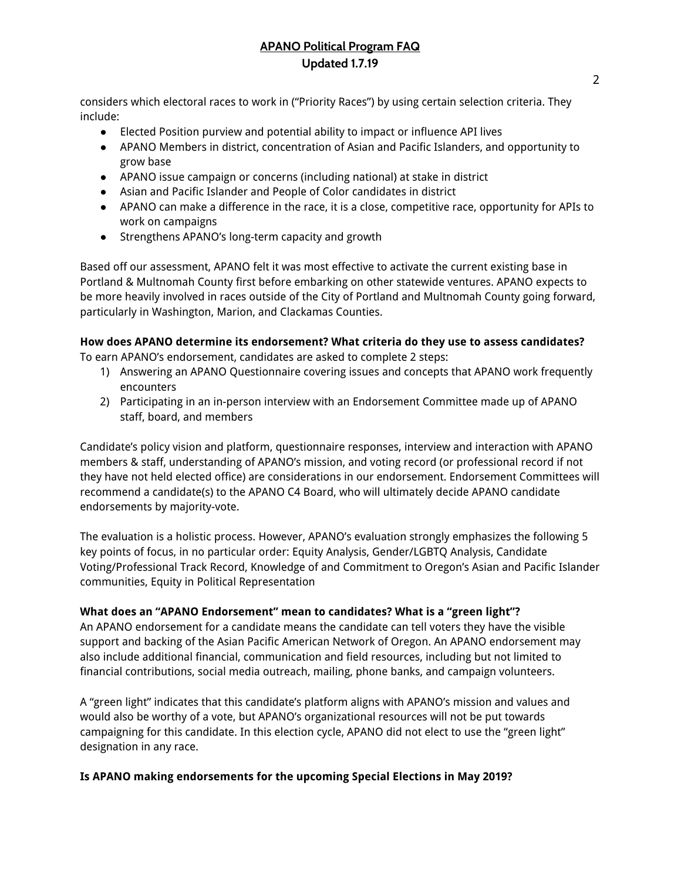# **APANO Political Program FAQ Updated 1.7.19**

considers which electoral races to work in ("Priority Races") by using certain selection criteria. They include:

- Elected Position purview and potential ability to impact or influence API lives
- APANO Members in district, concentration of Asian and Pacific Islanders, and opportunity to grow base
- APANO issue campaign or concerns (including national) at stake in district
- Asian and Pacific Islander and People of Color candidates in district
- APANO can make a difference in the race, it is a close, competitive race, opportunity for APIs to work on campaigns
- Strengthens APANO's long-term capacity and growth

Based off our assessment, APANO felt it was most effective to activate the current existing base in Portland & Multnomah County first before embarking on other statewide ventures. APANO expects to be more heavily involved in races outside of the City of Portland and Multnomah County going forward, particularly in Washington, Marion, and Clackamas Counties.

## **How does APANO determine its endorsement? What criteria do they use to assess candidates?**

To earn APANO's endorsement, candidates are asked to complete 2 steps:

- 1) Answering an APANO Questionnaire covering issues and concepts that APANO work frequently encounters
- 2) Participating in an in-person interview with an Endorsement Committee made up of APANO staff, board, and members

Candidate's policy vision and platform, questionnaire responses, interview and interaction with APANO members & staff, understanding of APANO's mission, and voting record (or professional record if not they have not held elected office) are considerations in our endorsement. Endorsement Committees will recommend a candidate(s) to the APANO C4 Board, who will ultimately decide APANO candidate endorsements by majority-vote.

The evaluation is a holistic process. However, APANO's evaluation strongly emphasizes the following 5 key points of focus, in no particular order: Equity Analysis, Gender/LGBTQ Analysis, Candidate Voting/Professional Track Record, Knowledge of and Commitment to Oregon's Asian and Pacific Islander communities, Equity in Political Representation

## **What does an "APANO Endorsement" mean to candidates? What is a "green light"?**

An APANO endorsement for a candidate means the candidate can tell voters they have the visible support and backing of the Asian Pacific American Network of Oregon. An APANO endorsement may also include additional financial, communication and field resources, including but not limited to financial contributions, social media outreach, mailing, phone banks, and campaign volunteers.

A "green light" indicates that this candidate's platform aligns with APANO's mission and values and would also be worthy of a vote, but APANO's organizational resources will not be put towards campaigning for this candidate. In this election cycle, APANO did not elect to use the "green light" designation in any race.

## **Is APANO making endorsements for the upcoming Special Elections in May 2019?**